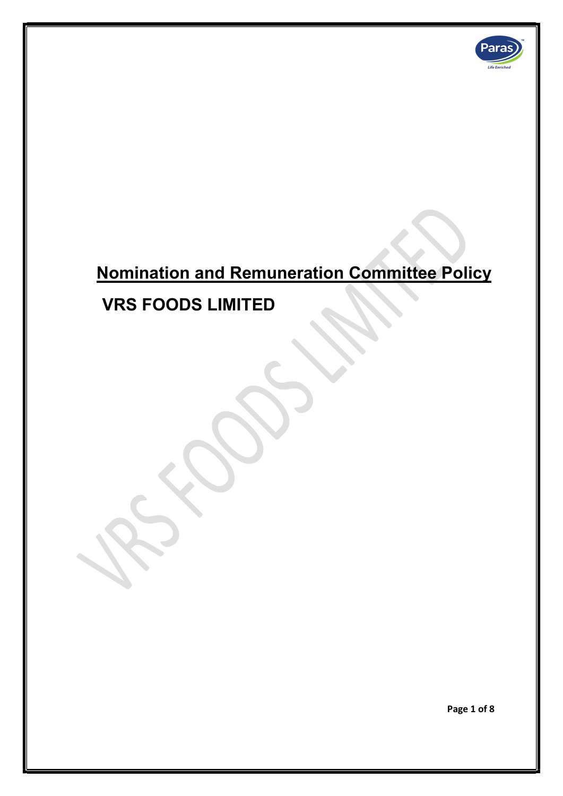

# Nomination and Remuneration Committee Policy

VRS FOODS LIMITED

Page 1 of 8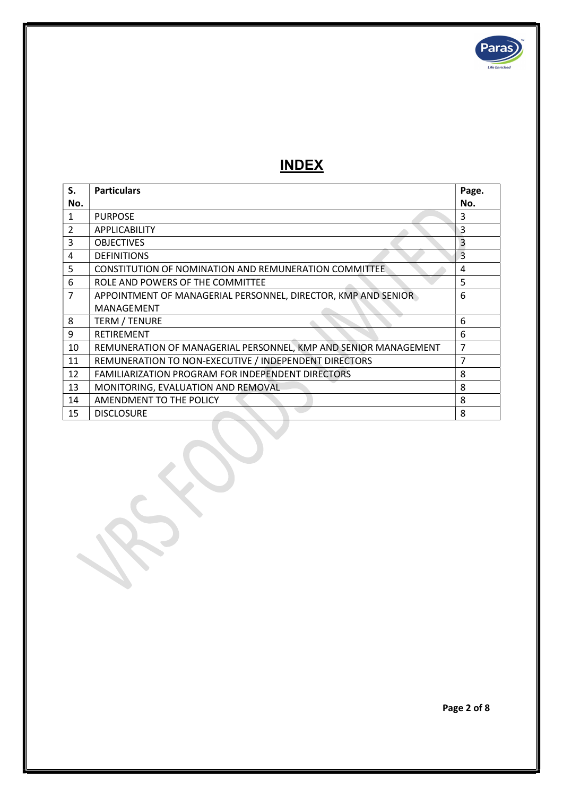

# INDEX

| S.             | <b>Particulars</b>                                              | Page. |
|----------------|-----------------------------------------------------------------|-------|
| No.            |                                                                 | No.   |
| 1              | <b>PURPOSE</b>                                                  | 3     |
| 2              | <b>APPLICABILITY</b>                                            | 3     |
| 3              | <b>OBJECTIVES</b>                                               | 3     |
| 4              | <b>DEFINITIONS</b>                                              | 3     |
| 5              | CONSTITUTION OF NOMINATION AND REMUNERATION COMMITTEE           | 4     |
| 6              | ROLE AND POWERS OF THE COMMITTEE                                | 5     |
| $\overline{7}$ | APPOINTMENT OF MANAGERIAL PERSONNEL, DIRECTOR, KMP AND SENIOR   | 6     |
|                | MANAGEMENT                                                      |       |
| 8              | <b>TERM / TENURE</b>                                            | 6     |
| 9              | <b>RETIREMENT</b>                                               | 6     |
| 10             | REMUNERATION OF MANAGERIAL PERSONNEL, KMP AND SENIOR MANAGEMENT | 7     |
| 11             | REMUNERATION TO NON-EXECUTIVE / INDEPENDENT DIRECTORS           | 7     |
| 12             | <b>FAMILIARIZATION PROGRAM FOR INDEPENDENT DIRECTORS</b>        | 8     |
| 13             | MONITORING, EVALUATION AND REMOVAL                              | 8     |
| 14             | AMENDMENT TO THE POLICY                                         | 8     |
| 15             | <b>DISCLOSURE</b>                                               | 8     |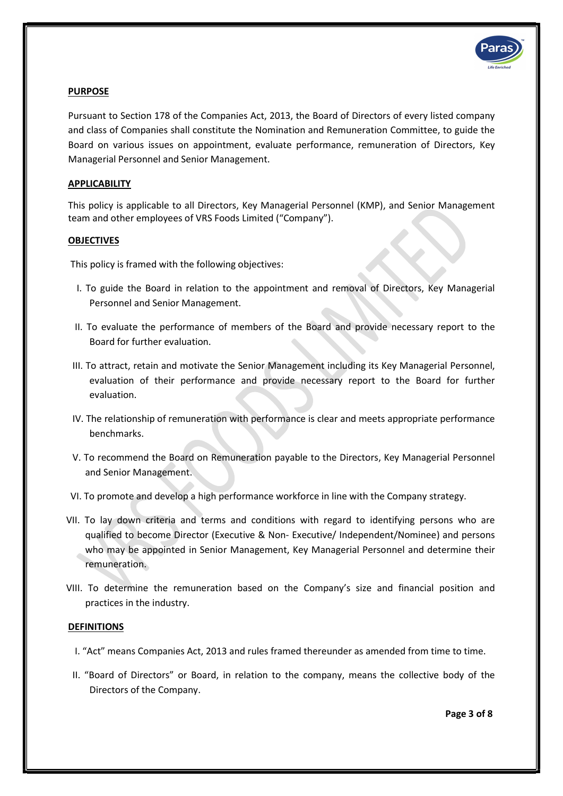

# PURPOSE

Pursuant to Section 178 of the Companies Act, 2013, the Board of Directors of every listed company and class of Companies shall constitute the Nomination and Remuneration Committee, to guide the Board on various issues on appointment, evaluate performance, remuneration of Directors, Key Managerial Personnel and Senior Management.

# APPLICABILITY

This policy is applicable to all Directors, Key Managerial Personnel (KMP), and Senior Management team and other employees of VRS Foods Limited ("Company").

# **OBJECTIVES**

This policy is framed with the following objectives:

- I. To guide the Board in relation to the appointment and removal of Directors, Key Managerial Personnel and Senior Management.
- II. To evaluate the performance of members of the Board and provide necessary report to the Board for further evaluation.
- III. To attract, retain and motivate the Senior Management including its Key Managerial Personnel, evaluation of their performance and provide necessary report to the Board for further evaluation.
- IV. The relationship of remuneration with performance is clear and meets appropriate performance benchmarks.
- V. To recommend the Board on Remuneration payable to the Directors, Key Managerial Personnel and Senior Management.
- VI. To promote and develop a high performance workforce in line with the Company strategy.
- VII. To lay down criteria and terms and conditions with regard to identifying persons who are qualified to become Director (Executive & Non- Executive/ Independent/Nominee) and persons who may be appointed in Senior Management, Key Managerial Personnel and determine their remuneration.
- VIII. To determine the remuneration based on the Company's size and financial position and practices in the industry.

# **DEFINITIONS**

- I. "Act" means Companies Act, 2013 and rules framed thereunder as amended from time to time.
- II. "Board of Directors" or Board, in relation to the company, means the collective body of the Directors of the Company.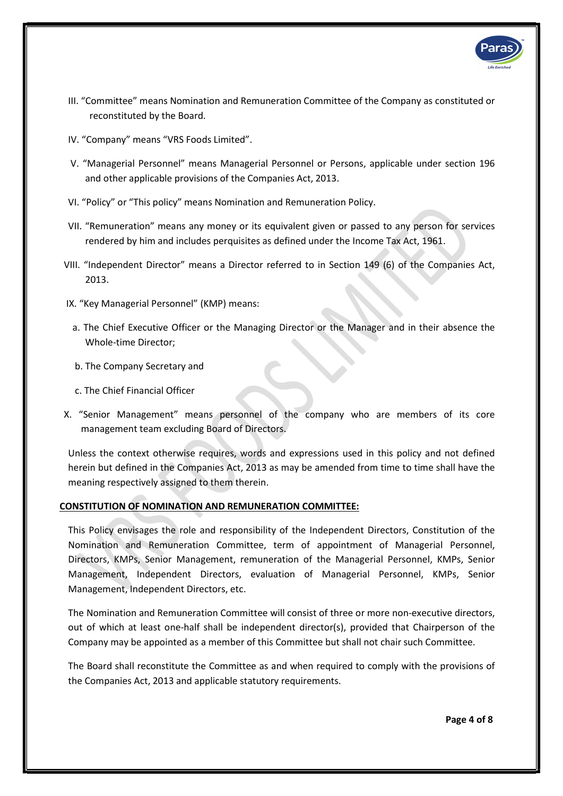

- III. "Committee" means Nomination and Remuneration Committee of the Company as constituted or reconstituted by the Board.
- IV. "Company" means "VRS Foods Limited".
- V. "Managerial Personnel" means Managerial Personnel or Persons, applicable under section 196 and other applicable provisions of the Companies Act, 2013.
- VI. "Policy" or "This policy" means Nomination and Remuneration Policy.
- VII. "Remuneration" means any money or its equivalent given or passed to any person for services rendered by him and includes perquisites as defined under the Income Tax Act, 1961.
- VIII. "Independent Director" means a Director referred to in Section 149 (6) of the Companies Act, 2013.
- IX. "Key Managerial Personnel" (KMP) means:
	- a. The Chief Executive Officer or the Managing Director or the Manager and in their absence the Whole-time Director;
	- b. The Company Secretary and
	- c. The Chief Financial Officer
- X. "Senior Management" means personnel of the company who are members of its core management team excluding Board of Directors.

Unless the context otherwise requires, words and expressions used in this policy and not defined herein but defined in the Companies Act, 2013 as may be amended from time to time shall have the meaning respectively assigned to them therein.

# CONSTITUTION OF NOMINATION AND REMUNERATION COMMITTEE:

This Policy envisages the role and responsibility of the Independent Directors, Constitution of the Nomination and Remuneration Committee, term of appointment of Managerial Personnel, Directors, KMPs, Senior Management, remuneration of the Managerial Personnel, KMPs, Senior Management, Independent Directors, evaluation of Managerial Personnel, KMPs, Senior Management, Independent Directors, etc.

The Nomination and Remuneration Committee will consist of three or more non-executive directors, out of which at least one-half shall be independent director(s), provided that Chairperson of the Company may be appointed as a member of this Committee but shall not chair such Committee.

The Board shall reconstitute the Committee as and when required to comply with the provisions of the Companies Act, 2013 and applicable statutory requirements.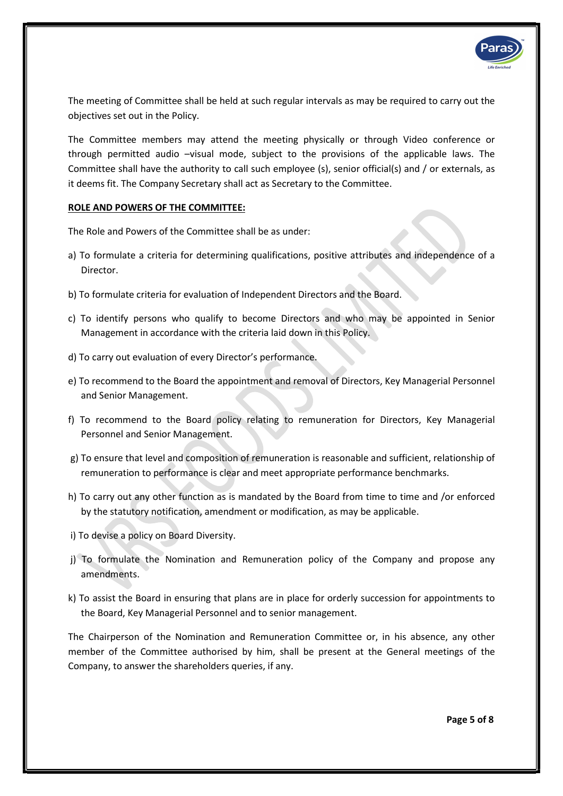

The meeting of Committee shall be held at such regular intervals as may be required to carry out the objectives set out in the Policy.

The Committee members may attend the meeting physically or through Video conference or through permitted audio –visual mode, subject to the provisions of the applicable laws. The Committee shall have the authority to call such employee (s), senior official(s) and / or externals, as it deems fit. The Company Secretary shall act as Secretary to the Committee.

# ROLE AND POWERS OF THE COMMITTEE:

The Role and Powers of the Committee shall be as under:

- a) To formulate a criteria for determining qualifications, positive attributes and independence of a Director.
- b) To formulate criteria for evaluation of Independent Directors and the Board.
- c) To identify persons who qualify to become Directors and who may be appointed in Senior Management in accordance with the criteria laid down in this Policy.
- d) To carry out evaluation of every Director's performance.
- e) To recommend to the Board the appointment and removal of Directors, Key Managerial Personnel and Senior Management.
- f) To recommend to the Board policy relating to remuneration for Directors, Key Managerial Personnel and Senior Management.
- g) To ensure that level and composition of remuneration is reasonable and sufficient, relationship of remuneration to performance is clear and meet appropriate performance benchmarks.
- h) To carry out any other function as is mandated by the Board from time to time and /or enforced by the statutory notification, amendment or modification, as may be applicable.
- i) To devise a policy on Board Diversity.
- j) To formulate the Nomination and Remuneration policy of the Company and propose any amendments.
- k) To assist the Board in ensuring that plans are in place for orderly succession for appointments to the Board, Key Managerial Personnel and to senior management.

The Chairperson of the Nomination and Remuneration Committee or, in his absence, any other member of the Committee authorised by him, shall be present at the General meetings of the Company, to answer the shareholders queries, if any.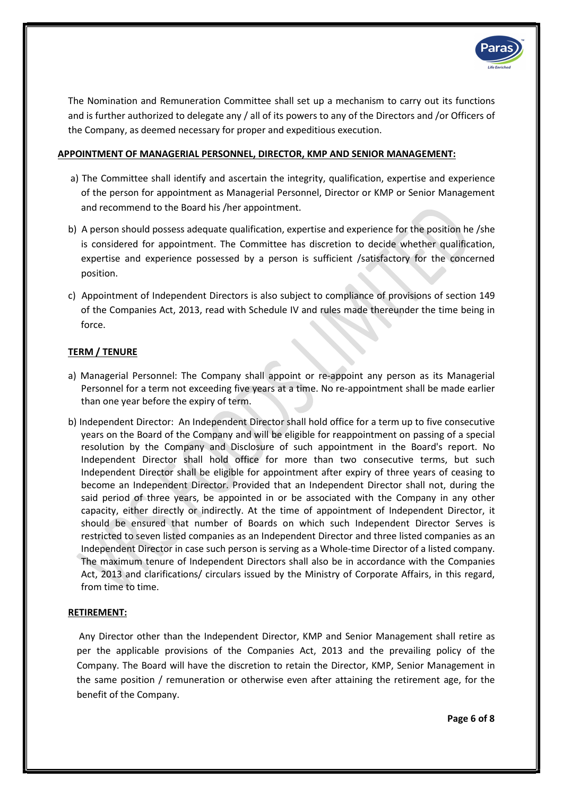

The Nomination and Remuneration Committee shall set up a mechanism to carry out its functions and is further authorized to delegate any / all of its powers to any of the Directors and /or Officers of the Company, as deemed necessary for proper and expeditious execution.

# APPOINTMENT OF MANAGERIAL PERSONNEL, DIRECTOR, KMP AND SENIOR MANAGEMENT:

- a) The Committee shall identify and ascertain the integrity, qualification, expertise and experience of the person for appointment as Managerial Personnel, Director or KMP or Senior Management and recommend to the Board his /her appointment.
- b) A person should possess adequate qualification, expertise and experience for the position he /she is considered for appointment. The Committee has discretion to decide whether qualification, expertise and experience possessed by a person is sufficient /satisfactory for the concerned position.
- c) Appointment of Independent Directors is also subject to compliance of provisions of section 149 of the Companies Act, 2013, read with Schedule IV and rules made thereunder the time being in force.

# TERM / TENURE

- a) Managerial Personnel: The Company shall appoint or re-appoint any person as its Managerial Personnel for a term not exceeding five years at a time. No re-appointment shall be made earlier than one year before the expiry of term.
- b) Independent Director: An Independent Director shall hold office for a term up to five consecutive years on the Board of the Company and will be eligible for reappointment on passing of a special resolution by the Company and Disclosure of such appointment in the Board's report. No Independent Director shall hold office for more than two consecutive terms, but such Independent Director shall be eligible for appointment after expiry of three years of ceasing to become an Independent Director. Provided that an Independent Director shall not, during the said period of three years, be appointed in or be associated with the Company in any other capacity, either directly or indirectly. At the time of appointment of Independent Director, it should be ensured that number of Boards on which such Independent Director Serves is restricted to seven listed companies as an Independent Director and three listed companies as an Independent Director in case such person is serving as a Whole-time Director of a listed company. The maximum tenure of Independent Directors shall also be in accordance with the Companies Act, 2013 and clarifications/ circulars issued by the Ministry of Corporate Affairs, in this regard, from time to time.

# RETIREMENT:

 Any Director other than the Independent Director, KMP and Senior Management shall retire as per the applicable provisions of the Companies Act, 2013 and the prevailing policy of the Company. The Board will have the discretion to retain the Director, KMP, Senior Management in the same position / remuneration or otherwise even after attaining the retirement age, for the benefit of the Company.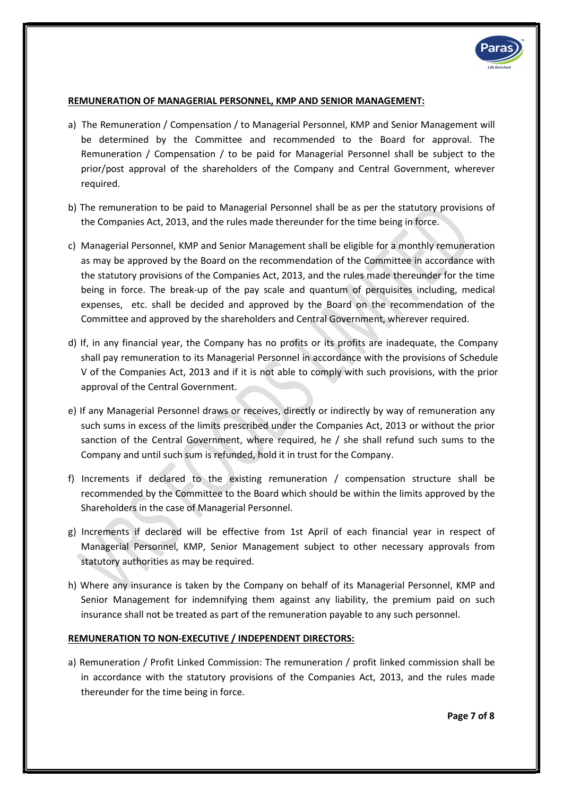

#### REMUNERATION OF MANAGERIAL PERSONNEL, KMP AND SENIOR MANAGEMENT:

- a) The Remuneration / Compensation / to Managerial Personnel, KMP and Senior Management will be determined by the Committee and recommended to the Board for approval. The Remuneration / Compensation / to be paid for Managerial Personnel shall be subject to the prior/post approval of the shareholders of the Company and Central Government, wherever required.
- b) The remuneration to be paid to Managerial Personnel shall be as per the statutory provisions of the Companies Act, 2013, and the rules made thereunder for the time being in force.
- c) Managerial Personnel, KMP and Senior Management shall be eligible for a monthly remuneration as may be approved by the Board on the recommendation of the Committee in accordance with the statutory provisions of the Companies Act, 2013, and the rules made thereunder for the time being in force. The break-up of the pay scale and quantum of perquisites including, medical expenses, etc. shall be decided and approved by the Board on the recommendation of the Committee and approved by the shareholders and Central Government, wherever required.
- d) If, in any financial year, the Company has no profits or its profits are inadequate, the Company shall pay remuneration to its Managerial Personnel in accordance with the provisions of Schedule V of the Companies Act, 2013 and if it is not able to comply with such provisions, with the prior approval of the Central Government.
- e) If any Managerial Personnel draws or receives, directly or indirectly by way of remuneration any such sums in excess of the limits prescribed under the Companies Act, 2013 or without the prior sanction of the Central Government, where required, he / she shall refund such sums to the Company and until such sum is refunded, hold it in trust for the Company.
- f) Increments if declared to the existing remuneration / compensation structure shall be recommended by the Committee to the Board which should be within the limits approved by the Shareholders in the case of Managerial Personnel.
- g) Increments if declared will be effective from 1st April of each financial year in respect of Managerial Personnel, KMP, Senior Management subject to other necessary approvals from statutory authorities as may be required.
- h) Where any insurance is taken by the Company on behalf of its Managerial Personnel, KMP and Senior Management for indemnifying them against any liability, the premium paid on such insurance shall not be treated as part of the remuneration payable to any such personnel.

# REMUNERATION TO NON-EXECUTIVE / INDEPENDENT DIRECTORS:

a) Remuneration / Profit Linked Commission: The remuneration / profit linked commission shall be in accordance with the statutory provisions of the Companies Act, 2013, and the rules made thereunder for the time being in force.